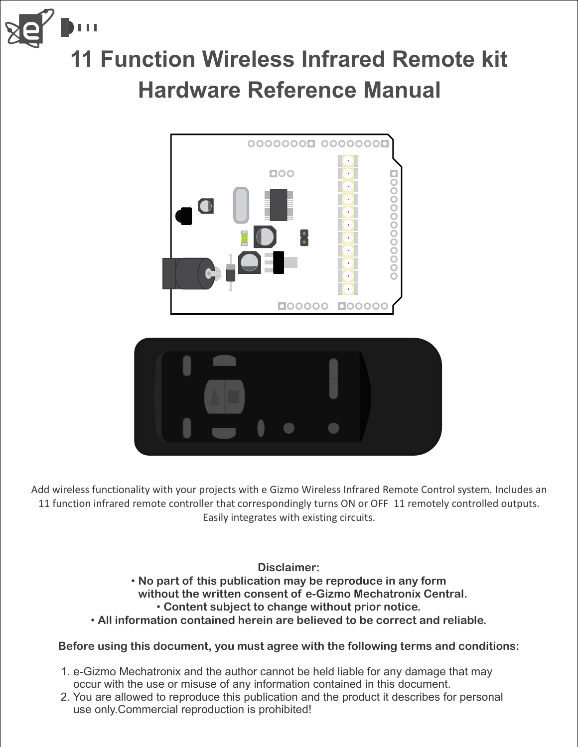

### **11 Function Wireless Infrared Remote kit Hardware Reference Manual**



Add wireless functionality with your projects with e Gizmo Wireless Infrared Remote Control system. Includes an 11 function infrared remote controller that correspondingly turns ON or OFF 11 remotely controlled outputs. Easily integrates with existing circuits.

**Disclaimer:**

- **No part of this publication may be reproduce in any form without the written consent of e-Gizmo Mechatronix Central. Content subject to change without prior notice.** •
- **All information contained herein are believed to be correct and reliable.** •

#### **Before using this document, you must agree with the following terms and conditions:**

- 1. e-Gizmo Mechatronix and the author cannot be held liable for any damage that may occur with the use or misuse of any information contained in this document.
- 2. You are allowed to reproduce this publication and the product it describes for personal use only.Commercial reproduction is prohibited!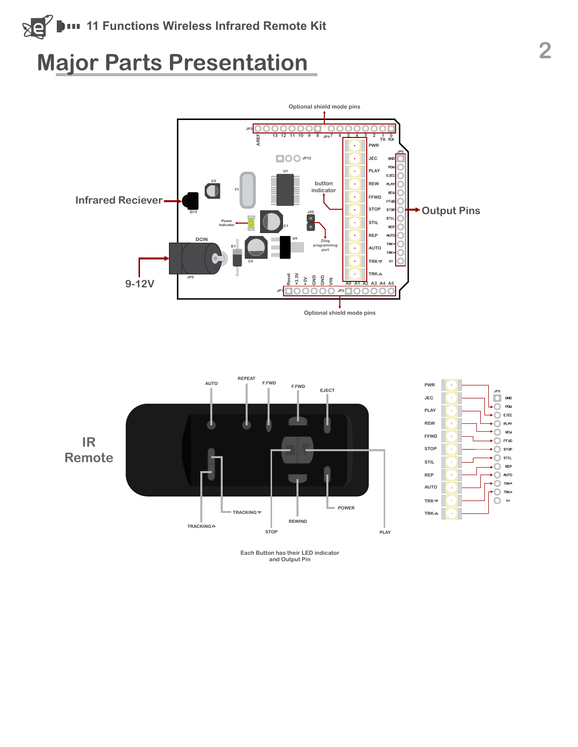#### **SE 11 Functions Wireless Infrared Remote Kit**

## **Major Parts Presentation** 2







**Each Button has their LED indicator and Output Pin**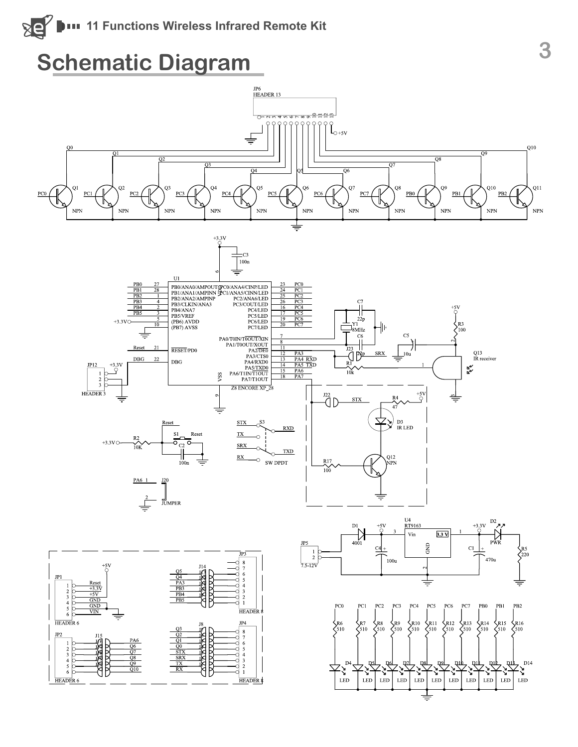#### **Schematic Diagram**

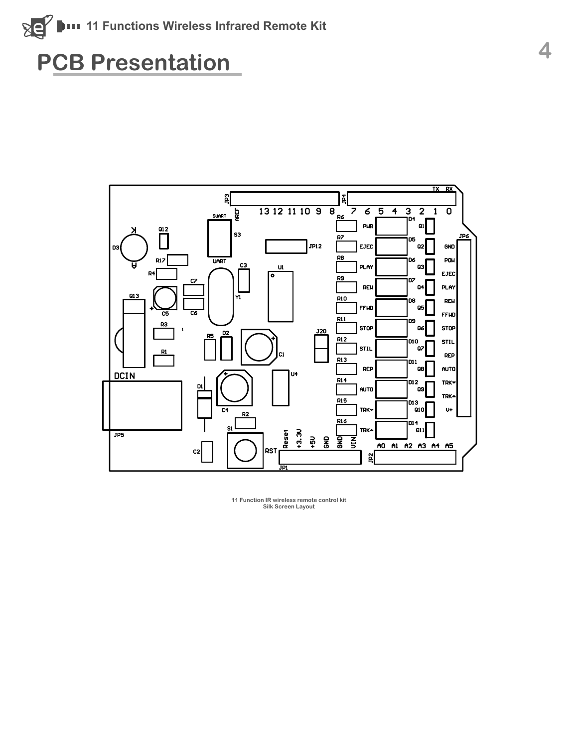

## **PCB Presentation <sup>4</sup>**



**11 Function IR wireless remote control kit Silk Screen Layout**